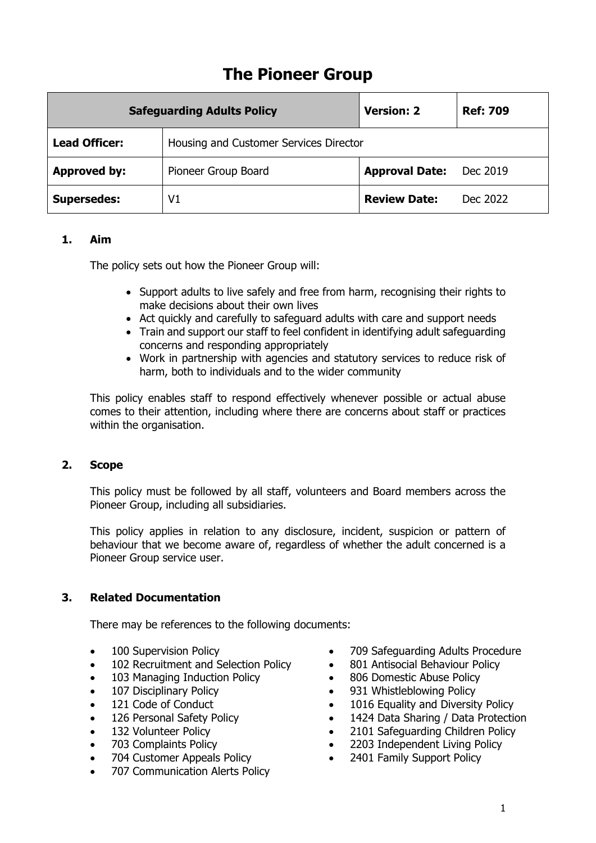# **The Pioneer Group**

| <b>Safeguarding Adults Policy</b> |                                        | <b>Version: 2</b>     | <b>Ref: 709</b> |
|-----------------------------------|----------------------------------------|-----------------------|-----------------|
| <b>Lead Officer:</b>              | Housing and Customer Services Director |                       |                 |
| <b>Approved by:</b>               | Pioneer Group Board                    | <b>Approval Date:</b> | Dec 2019        |
| <b>Supersedes:</b>                | V <sub>1</sub>                         | <b>Review Date:</b>   | Dec 2022        |

#### **1. Aim**

The policy sets out how the Pioneer Group will:

- Support adults to live safely and free from harm, recognising their rights to make decisions about their own lives
- Act quickly and carefully to safeguard adults with care and support needs
- Train and support our staff to feel confident in identifying adult safeguarding concerns and responding appropriately
- Work in partnership with agencies and statutory services to reduce risk of harm, both to individuals and to the wider community

This policy enables staff to respond effectively whenever possible or actual abuse comes to their attention, including where there are concerns about staff or practices within the organisation.

#### **2. Scope**

This policy must be followed by all staff, volunteers and Board members across the Pioneer Group, including all subsidiaries.

This policy applies in relation to any disclosure, incident, suspicion or pattern of behaviour that we become aware of, regardless of whether the adult concerned is a Pioneer Group service user.

## **3. Related Documentation**

There may be references to the following documents:

- 100 Supervision Policy
- 102 Recruitment and Selection Policy
- 103 Managing Induction Policy
- 107 Disciplinary Policy
- 121 Code of Conduct
- 126 Personal Safety Policy
- 132 Volunteer Policy
- 703 Complaints Policy
- 704 Customer Appeals Policy
- 707 Communication Alerts Policy
- 709 Safeguarding Adults Procedure
- 801 Antisocial Behaviour Policy
- 806 Domestic Abuse Policy
- 931 Whistleblowing Policy
- 1016 Equality and Diversity Policy
- 1424 Data Sharing / Data Protection
- 2101 Safeguarding Children Policy
- 2203 Independent Living Policy
- 2401 Family Support Policy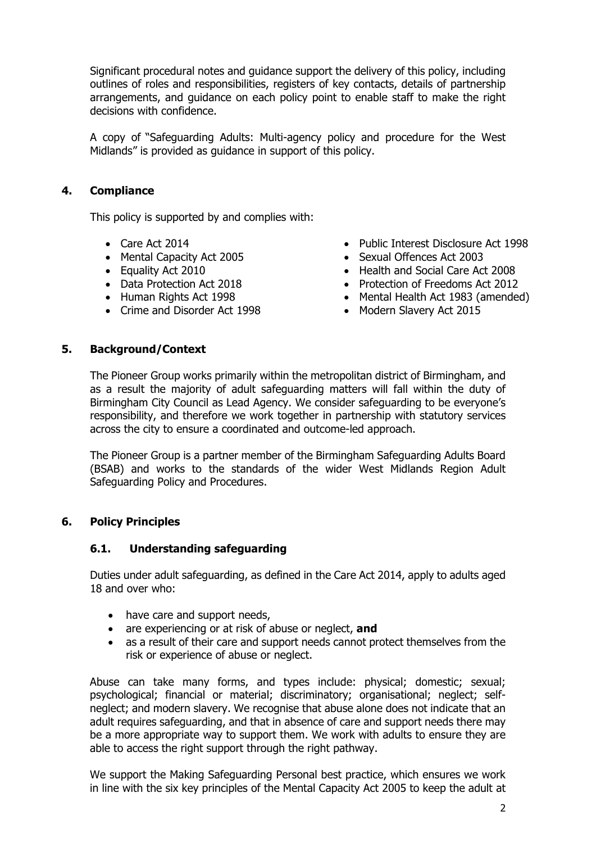Significant procedural notes and guidance support the delivery of this policy, including outlines of roles and responsibilities, registers of key contacts, details of partnership arrangements, and guidance on each policy point to enable staff to make the right decisions with confidence.

A copy of "Safeguarding Adults: Multi-agency policy and procedure for the West Midlands" is provided as guidance in support of this policy.

### **4. Compliance**

This policy is supported by and complies with:

- Care Act 2014
- Mental Capacity Act 2005
- Equality Act 2010
- Data Protection Act 2018
- Human Rights Act 1998
- Crime and Disorder Act 1998
- Public Interest Disclosure Act 1998
- Sexual Offences Act 2003
- Health and Social Care Act 2008
- Protection of Freedoms Act 2012
- Mental Health Act 1983 (amended)
- Modern Slavery Act 2015

#### **5. Background/Context**

The Pioneer Group works primarily within the metropolitan district of Birmingham, and as a result the majority of adult safeguarding matters will fall within the duty of Birmingham City Council as Lead Agency. We consider safeguarding to be everyone's responsibility, and therefore we work together in partnership with statutory services across the city to ensure a coordinated and outcome-led approach.

The Pioneer Group is a partner member of the Birmingham Safeguarding Adults Board (BSAB) and works to the standards of the wider West Midlands Region Adult Safeguarding Policy and Procedures.

#### **6. Policy Principles**

#### **6.1. Understanding safeguarding**

Duties under adult safeguarding, as defined in the Care Act 2014, apply to adults aged 18 and over who:

- have care and support needs,
- are experiencing or at risk of abuse or neglect, **and**
- as a result of their care and support needs cannot protect themselves from the risk or experience of abuse or neglect.

Abuse can take many forms, and types include: physical; domestic; sexual; psychological; financial or material; discriminatory; organisational; neglect; selfneglect; and modern slavery. We recognise that abuse alone does not indicate that an adult requires safeguarding, and that in absence of care and support needs there may be a more appropriate way to support them. We work with adults to ensure they are able to access the right support through the right pathway.

We support the Making Safeguarding Personal best practice, which ensures we work in line with the six key principles of the Mental Capacity Act 2005 to keep the adult at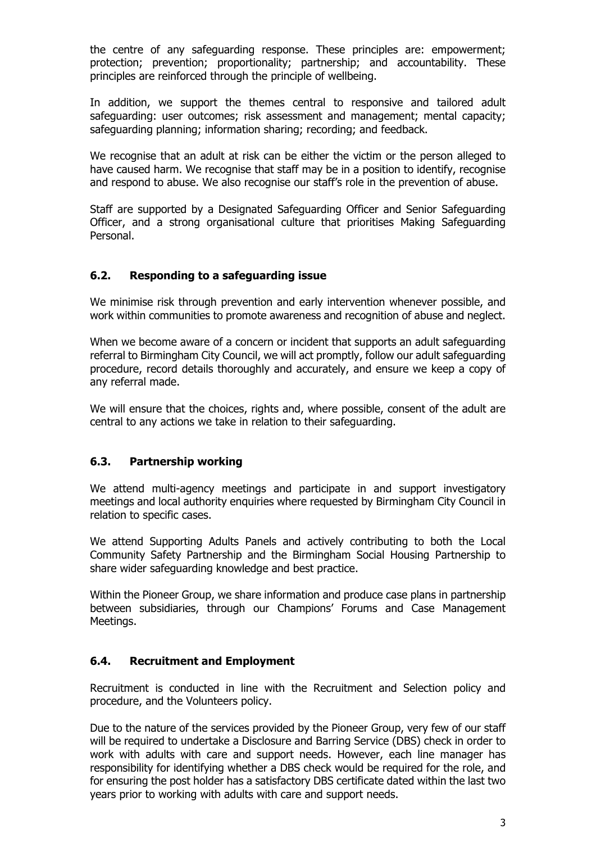the centre of any safeguarding response. These principles are: empowerment; protection; prevention; proportionality; partnership; and accountability. These principles are reinforced through the principle of wellbeing.

In addition, we support the themes central to responsive and tailored adult safeguarding: user outcomes; risk assessment and management; mental capacity; safeguarding planning; information sharing; recording; and feedback.

We recognise that an adult at risk can be either the victim or the person alleged to have caused harm. We recognise that staff may be in a position to identify, recognise and respond to abuse. We also recognise our staff's role in the prevention of abuse.

Staff are supported by a Designated Safeguarding Officer and Senior Safeguarding Officer, and a strong organisational culture that prioritises Making Safeguarding Personal.

## **6.2. Responding to a safeguarding issue**

We minimise risk through prevention and early intervention whenever possible, and work within communities to promote awareness and recognition of abuse and neglect.

When we become aware of a concern or incident that supports an adult safeguarding referral to Birmingham City Council, we will act promptly, follow our adult safeguarding procedure, record details thoroughly and accurately, and ensure we keep a copy of any referral made.

We will ensure that the choices, rights and, where possible, consent of the adult are central to any actions we take in relation to their safeguarding.

#### **6.3. Partnership working**

We attend multi-agency meetings and participate in and support investigatory meetings and local authority enquiries where requested by Birmingham City Council in relation to specific cases.

We attend Supporting Adults Panels and actively contributing to both the Local Community Safety Partnership and the Birmingham Social Housing Partnership to share wider safeguarding knowledge and best practice.

Within the Pioneer Group, we share information and produce case plans in partnership between subsidiaries, through our Champions' Forums and Case Management Meetings.

## **6.4. Recruitment and Employment**

Recruitment is conducted in line with the Recruitment and Selection policy and procedure, and the Volunteers policy.

Due to the nature of the services provided by the Pioneer Group, very few of our staff will be required to undertake a Disclosure and Barring Service (DBS) check in order to work with adults with care and support needs. However, each line manager has responsibility for identifying whether a DBS check would be required for the role, and for ensuring the post holder has a satisfactory DBS certificate dated within the last two years prior to working with adults with care and support needs.